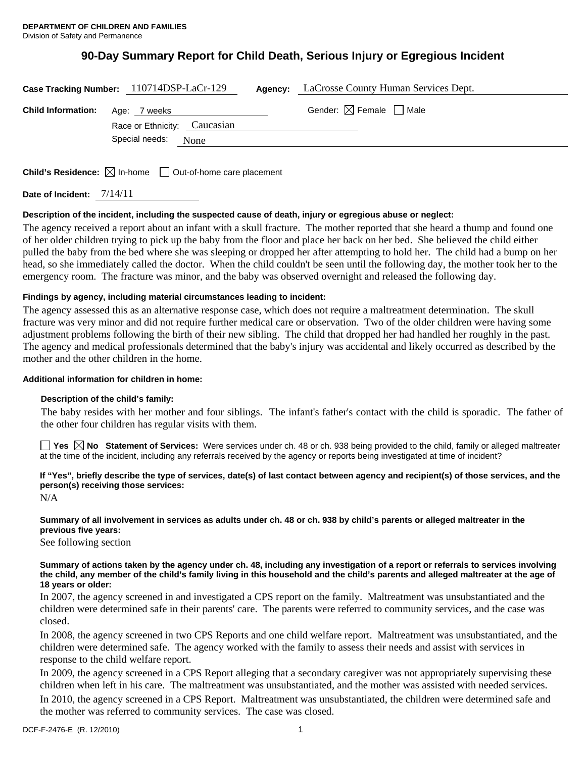# **90-Day Summary Report for Child Death, Serious Injury or Egregious Incident**

|                           | Case Tracking Number: 110714DSP-LaCr-129     | Agency: | LaCrosse County Human Services Dept.   |
|---------------------------|----------------------------------------------|---------|----------------------------------------|
| <b>Child Information:</b> | Age: 7 weeks<br>Race or Ethnicity: Caucasian |         | Gender: $\boxtimes$ Female $\Box$ Male |
|                           | Special needs:<br>None                       |         |                                        |

**Child's Residence:**  $\boxtimes$  In-home  $\Box$  Out-of-home care placement

**Date of Incident:** 7/14/11

# **Description of the incident, including the suspected cause of death, injury or egregious abuse or neglect:**

The agency received a report about an infant with a skull fracture. The mother reported that she heard a thump and found one of her older children trying to pick up the baby from the floor and place her back on her bed. She believed the child either pulled the baby from the bed where she was sleeping or dropped her after attempting to hold her. The child had a bump on her head, so she immediately called the doctor. When the child couldn't be seen until the following day, the mother took her to the emergency room. The fracture was minor, and the baby was observed overnight and released the following day.

# **Findings by agency, including material circumstances leading to incident:**

The agency assessed this as an alternative response case, which does not require a maltreatment determination. The skull fracture was very minor and did not require further medical care or observation. Two of the older children were having some adjustment problems following the birth of their new sibling. The child that dropped her had handled her roughly in the past. The agency and medical professionals determined that the baby's injury was accidental and likely occurred as described by the mother and the other children in the home.

#### **Additional information for children in home:**

# **Description of the child's family:**

The baby resides with her mother and four siblings. The infant's father's contact with the child is sporadic. The father of the other four children has regular visits with them.

**No** Statement of Services: Were services under ch. 48 or ch. 938 being provided to the child, family or alleged maltreater at the time of the incident, including any referrals received by the agency or reports being investigated at time of incident?

**If "Yes", briefly describe the type of services, date(s) of last contact between agency and recipient(s) of those services, and the person(s) receiving those services:** 

N/A

# **Summary of all involvement in services as adults under ch. 48 or ch. 938 by child's parents or alleged maltreater in the previous five years:**

See following section

#### **Summary of actions taken by the agency under ch. 48, including any investigation of a report or referrals to services involving the child, any member of the child's family living in this household and the child's parents and alleged maltreater at the age of 18 years or older:**

In 2007, the agency screened in and investigated a CPS report on the family. Maltreatment was unsubstantiated and the children were determined safe in their parents' care. The parents were referred to community services, and the case was closed.

In 2008, the agency screened in two CPS Reports and one child welfare report. Maltreatment was unsubstantiated, and the children were determined safe. The agency worked with the family to assess their needs and assist with services in response to the child welfare report.

In 2009, the agency screened in a CPS Report alleging that a secondary caregiver was not appropriately supervising these children when left in his care. The maltreatment was unsubstantiated, and the mother was assisted with needed services. In 2010, the agency screened in a CPS Report. Maltreatment was unsubstantiated, the children were determined safe and the mother was referred to community services. The case was closed.